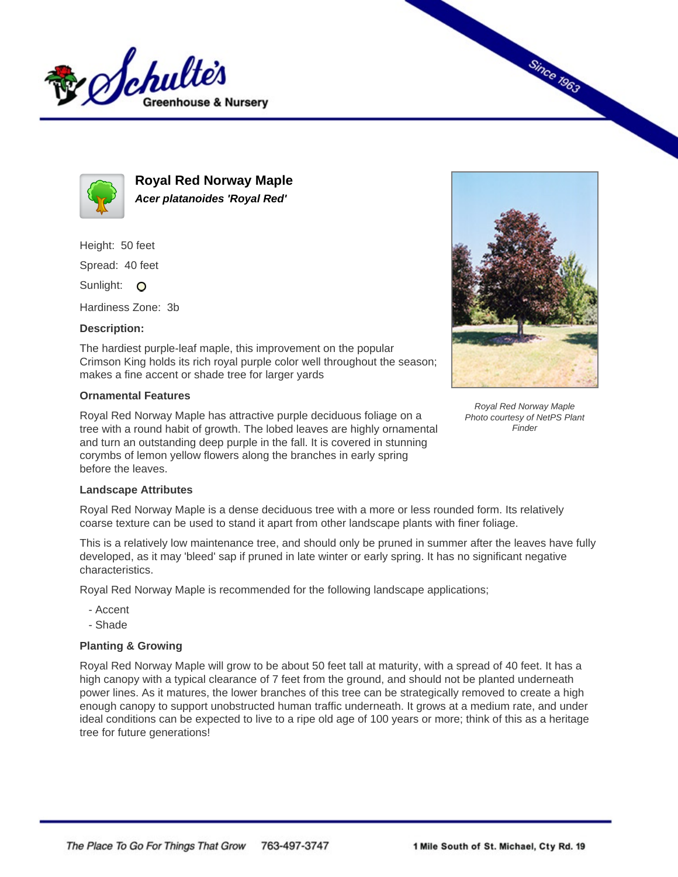



**Royal Red Norway Maple Acer platanoides 'Royal Red'**

Height: 50 feet Spread: 40 feet

Sunlight: O

Hardiness Zone: 3b

## **Description:**

The hardiest purple-leaf maple, this improvement on the popular Crimson King holds its rich royal purple color well throughout the season; makes a fine accent or shade tree for larger yards

## **Ornamental Features**

Royal Red Norway Maple has attractive purple deciduous foliage on a tree with a round habit of growth. The lobed leaves are highly ornamental and turn an outstanding deep purple in the fall. It is covered in stunning corymbs of lemon yellow flowers along the branches in early spring before the leaves.



**Since 1963** 

Royal Red Norway Maple Photo courtesy of NetPS Plant **Finder** 

## **Landscape Attributes**

Royal Red Norway Maple is a dense deciduous tree with a more or less rounded form. Its relatively coarse texture can be used to stand it apart from other landscape plants with finer foliage.

This is a relatively low maintenance tree, and should only be pruned in summer after the leaves have fully developed, as it may 'bleed' sap if pruned in late winter or early spring. It has no significant negative characteristics.

Royal Red Norway Maple is recommended for the following landscape applications;

- Accent
- Shade

## **Planting & Growing**

Royal Red Norway Maple will grow to be about 50 feet tall at maturity, with a spread of 40 feet. It has a high canopy with a typical clearance of 7 feet from the ground, and should not be planted underneath power lines. As it matures, the lower branches of this tree can be strategically removed to create a high enough canopy to support unobstructed human traffic underneath. It grows at a medium rate, and under ideal conditions can be expected to live to a ripe old age of 100 years or more; think of this as a heritage tree for future generations!